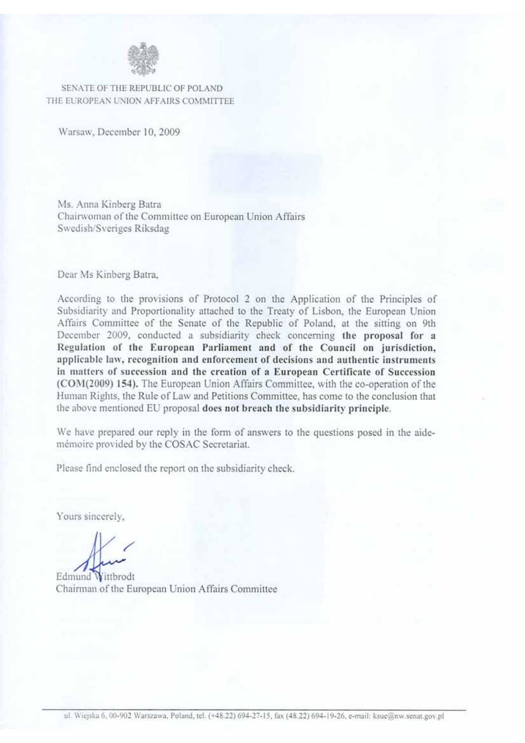

SENATE OF THE REPUBLIC OF POLAND THE EUROPEAN UNION AFFAIRS COMMITTEE

Warsaw, December 10, 2009

Ms. Anna Kinberg Batra Chairwoman of the Committee on European Union Affairs Swedish/Sveriges Riksdag

Dear Ms Kinberg Batra,

According to the provisions of Protocol 2 on the Application of the Principles of Subsidiarity and Proportionality attached to the Treaty of Lisbon, the European Union Affairs Committee of the Senate of the Republic of Poland, at the sitting on 9th December 2009, conducted a subsidiarity check concerning the proposal for a Regulation of the European Parliament and of the Council on jurisdiction, applicable law, recognition and enforcement of decisions and authentic instruments in matters of succession and the creation of a European Certificate of Succession (COM(2009) 154). The European Union Affairs Committee, with the co-operation of the Human Rights, the Rule of Law and Petitions Committee, has come to the conclusion that the above mentioned EU proposal does not breach the subsidiarity principle.

We have prepared our reply in the form of answers to the questions posed in the aidemémoire provided by the COSAC Secretariat.

Please find enclosed the report on the subsidiarity check.

Yours sincerely,

Edmund Wittbrodt Chairman of the European Union Affairs Committee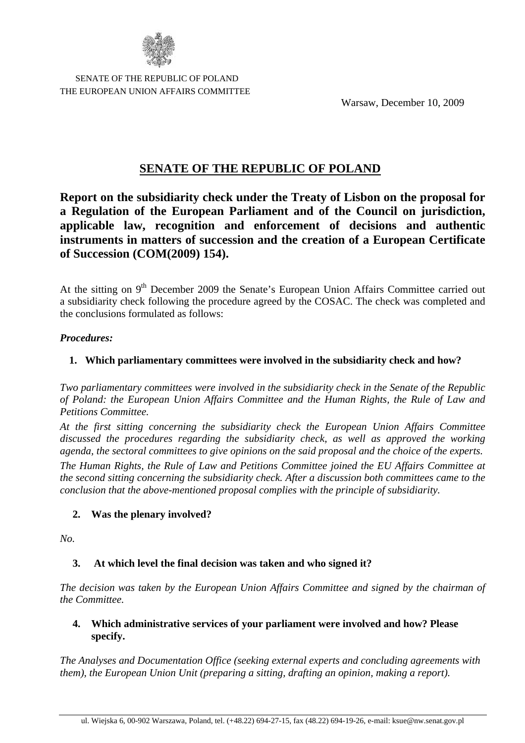

 SENATE OF THE REPUBLIC OF POLAND THE EUROPEAN UNION AFFAIRS COMMITTEE

Warsaw, December 10, 2009

# **SENATE OF THE REPUBLIC OF POLAND**

**Report on the subsidiarity check under the Treaty of Lisbon on the proposal for a Regulation of the European Parliament and of the Council on jurisdiction, applicable law, recognition and enforcement of decisions and authentic instruments in matters of succession and the creation of a European Certificate of Succession (COM(2009) 154).**

At the sitting on 9<sup>th</sup> December 2009 the Senate's European Union Affairs Committee carried out a subsidiarity check following the procedure agreed by the COSAC. The check was completed and the conclusions formulated as follows:

#### *Procedures:*

### **1. Which parliamentary committees were involved in the subsidiarity check and how?**

*Two parliamentary committees were involved in the subsidiarity check in the Senate of the Republic of Poland: the European Union Affairs Committee and the Human Rights, the Rule of Law and Petitions Committee.*

*At the first sitting concerning the subsidiarity check the European Union Affairs Committee discussed the procedures regarding the subsidiarity check, as well as approved the working agenda, the sectoral committees to give opinions on the said proposal and the choice of the experts. The Human Rights, the Rule of Law and Petitions Committee joined the EU Affairs Committee at the second sitting concerning the subsidiarity check. After a discussion both committees came to the conclusion that the above-mentioned proposal complies with the principle of subsidiarity.*

### **2. Was the plenary involved?**

*No.*

### **3. At which level the final decision was taken and who signed it?**

*The decision was taken by the European Union Affairs Committee and signed by the chairman of the Committee.*

#### **4. Which administrative services of your parliament were involved and how? Please specify.**

*The Analyses and Documentation Office (seeking external experts and concluding agreements with them), the European Union Unit (preparing a sitting, drafting an opinion, making a report).*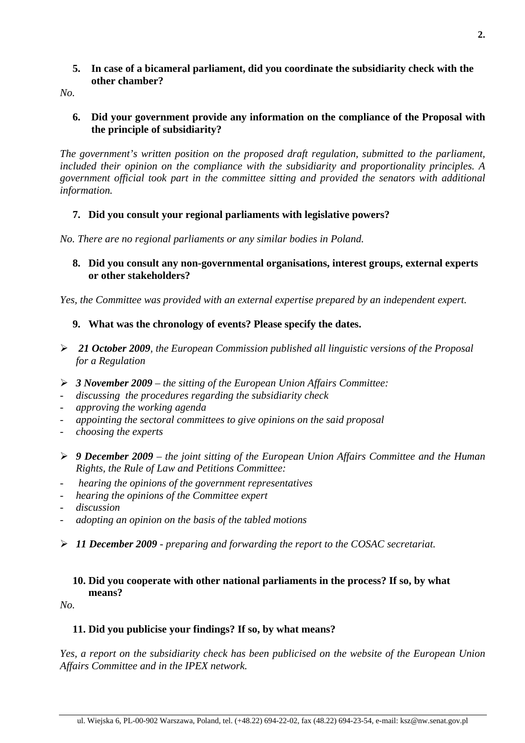### **5. In case of a bicameral parliament, did you coordinate the subsidiarity check with the other chamber?**

*No.*

### **6. Did your government provide any information on the compliance of the Proposal with the principle of subsidiarity?**

*The government's written position on the proposed draft regulation, submitted to the parliament, included their opinion on the compliance with the subsidiarity and proportionality principles. A government official took part in the committee sitting and provided the senators with additional information.*

# **7. Did you consult your regional parliaments with legislative powers?**

*No. There are no regional parliaments or any similar bodies in Poland.*

### **8. Did you consult any non-governmental organisations, interest groups, external experts or other stakeholders?**

*Yes, the Committee was provided with an external expertise prepared by an independent expert.*

## **9. What was the chronology of events? Please specify the dates.**

- ¾ *21 October 2009, the European Commission published all linguistic versions of the Proposal for a Regulation*
- ¾ *3 November 2009 the sitting of the European Union Affairs Committee:*
- *discussing the procedures regarding the subsidiarity check*
- *approving the working agenda*
- *appointing the sectoral committees to give opinions on the said proposal*
- *choosing the experts*
- ¾ *9 December 2009 the joint sitting of the European Union Affairs Committee and the Human Rights, the Rule of Law and Petitions Committee:*
- - *hearing the opinions of the government representatives*
- *hearing the opinions of the Committee expert*
- *discussion*
- *adopting an opinion on the basis of the tabled motions*
- ¾ *11 December 2009 preparing and forwarding the report to the COSAC secretariat.*

### **10. Did you cooperate with other national parliaments in the process? If so, by what means?**

*No.*

### **11. Did you publicise your findings? If so, by what means?**

*Yes, a report on the subsidiarity check has been publicised on the website of the European Union Affairs Committee and in the IPEX network.*